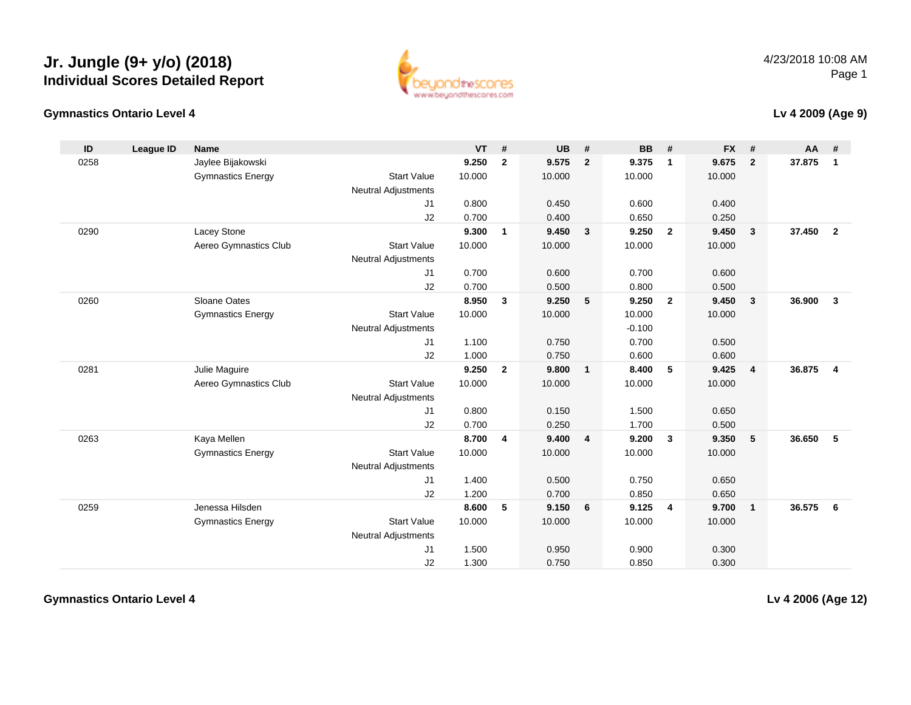#### **Gymnastics Ontario Level 4**



#### 4/23/2018 10:08 AMPage 1

#### **Lv 4 2009 (Age 9)**

| ID   | League ID | Name                     |                            | $VT$ # |                | <b>UB</b> | #                       | <b>BB</b> | #              | <b>FX</b> | #                       | AA #   |                |
|------|-----------|--------------------------|----------------------------|--------|----------------|-----------|-------------------------|-----------|----------------|-----------|-------------------------|--------|----------------|
| 0258 |           | Jaylee Bijakowski        |                            | 9.250  | $\overline{2}$ | 9.575     | $\overline{2}$          | 9.375     | $\mathbf{1}$   | 9.675     | $\overline{2}$          | 37.875 | $\mathbf{1}$   |
|      |           | <b>Gymnastics Energy</b> | <b>Start Value</b>         | 10.000 |                | 10.000    |                         | 10.000    |                | 10.000    |                         |        |                |
|      |           |                          | <b>Neutral Adjustments</b> |        |                |           |                         |           |                |           |                         |        |                |
|      |           |                          | J1                         | 0.800  |                | 0.450     |                         | 0.600     |                | 0.400     |                         |        |                |
|      |           |                          | J2                         | 0.700  |                | 0.400     |                         | 0.650     |                | 0.250     |                         |        |                |
| 0290 |           | Lacey Stone              |                            | 9.300  | $\mathbf{1}$   | 9.450     | $\mathbf{3}$            | 9.250     | $\overline{2}$ | 9.450     | $\overline{\mathbf{3}}$ | 37.450 | $\overline{2}$ |
|      |           | Aereo Gymnastics Club    | <b>Start Value</b>         | 10.000 |                | 10.000    |                         | 10.000    |                | 10.000    |                         |        |                |
|      |           |                          | <b>Neutral Adjustments</b> |        |                |           |                         |           |                |           |                         |        |                |
|      |           |                          | J1                         | 0.700  |                | 0.600     |                         | 0.700     |                | 0.600     |                         |        |                |
|      |           |                          | J2                         | 0.700  |                | 0.500     |                         | 0.800     |                | 0.500     |                         |        |                |
| 0260 |           | Sloane Oates             |                            | 8.950  | $\mathbf{3}$   | 9.250     | 5                       | 9.250     | $\overline{2}$ | 9.450     | $\mathbf{3}$            | 36,900 | $\mathbf{3}$   |
|      |           | <b>Gymnastics Energy</b> | <b>Start Value</b>         | 10.000 |                | 10.000    |                         | 10.000    |                | 10.000    |                         |        |                |
|      |           |                          | <b>Neutral Adjustments</b> |        |                |           |                         | $-0.100$  |                |           |                         |        |                |
|      |           |                          | J1                         | 1.100  |                | 0.750     |                         | 0.700     |                | 0.500     |                         |        |                |
|      |           |                          | J2                         | 1.000  |                | 0.750     |                         | 0.600     |                | 0.600     |                         |        |                |
| 0281 |           | Julie Maguire            |                            | 9.250  | $\overline{2}$ | 9.800     | $\mathbf{1}$            | 8.400     | 5              | 9.425     | $\overline{4}$          | 36,875 | $\overline{4}$ |
|      |           | Aereo Gymnastics Club    | <b>Start Value</b>         | 10.000 |                | 10.000    |                         | 10.000    |                | 10.000    |                         |        |                |
|      |           |                          | <b>Neutral Adjustments</b> |        |                |           |                         |           |                |           |                         |        |                |
|      |           |                          | J1                         | 0.800  |                | 0.150     |                         | 1.500     |                | 0.650     |                         |        |                |
|      |           |                          | J2                         | 0.700  |                | 0.250     |                         | 1.700     |                | 0.500     |                         |        |                |
| 0263 |           | Kaya Mellen              |                            | 8.700  | 4              | 9.400     | $\overline{\mathbf{4}}$ | 9.200     | $\mathbf{3}$   | 9.350     | 5                       | 36.650 | 5              |
|      |           | <b>Gymnastics Energy</b> | <b>Start Value</b>         | 10.000 |                | 10.000    |                         | 10.000    |                | 10.000    |                         |        |                |
|      |           |                          | <b>Neutral Adjustments</b> |        |                |           |                         |           |                |           |                         |        |                |
|      |           |                          | J1                         | 1.400  |                | 0.500     |                         | 0.750     |                | 0.650     |                         |        |                |
|      |           |                          | J2                         | 1.200  |                | 0.700     |                         | 0.850     |                | 0.650     |                         |        |                |
| 0259 |           | Jenessa Hilsden          |                            | 8.600  | 5              | 9.150     | 6                       | 9.125     | $\overline{4}$ | 9.700     | $\overline{1}$          | 36.575 | 6              |
|      |           | <b>Gymnastics Energy</b> | <b>Start Value</b>         | 10.000 |                | 10.000    |                         | 10.000    |                | 10.000    |                         |        |                |
|      |           |                          | <b>Neutral Adjustments</b> |        |                |           |                         |           |                |           |                         |        |                |
|      |           |                          | J1                         | 1.500  |                | 0.950     |                         | 0.900     |                | 0.300     |                         |        |                |
|      |           |                          | J2                         | 1.300  |                | 0.750     |                         | 0.850     |                | 0.300     |                         |        |                |

**Gymnastics Ontario Level 4**

**Lv 4 2006 (Age 12)**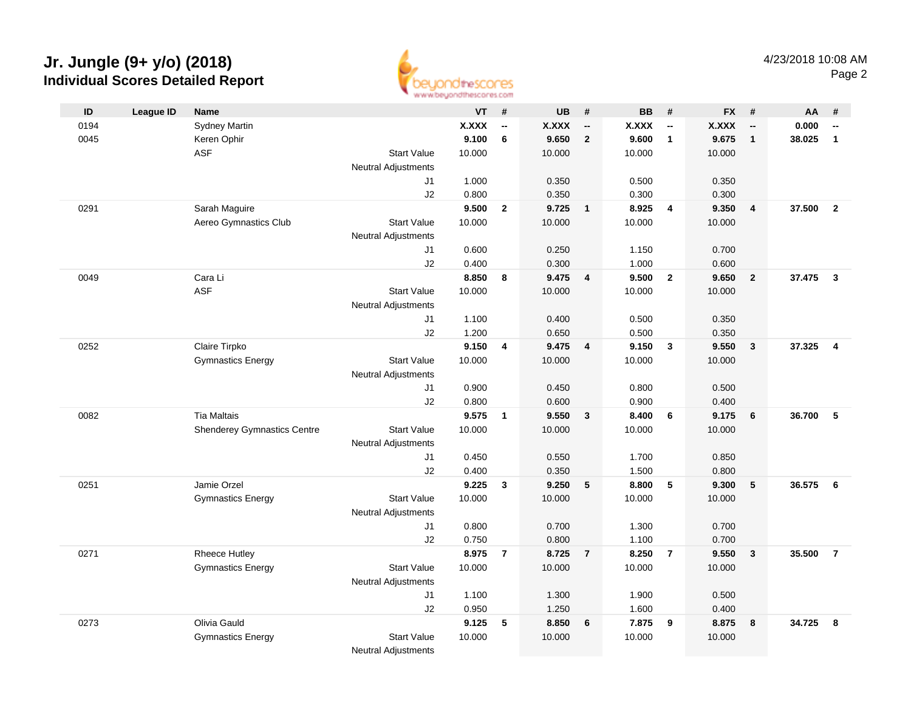

|      |           |                                    |                            | <b>BEREAD AND ARRAIGNMENT AND ARRAIGNMENT AND POST AND ARRAIGNMENT.</b> |                          |              |                          |              |                          |              |                          |        |                         |
|------|-----------|------------------------------------|----------------------------|-------------------------------------------------------------------------|--------------------------|--------------|--------------------------|--------------|--------------------------|--------------|--------------------------|--------|-------------------------|
| ID   | League ID | <b>Name</b>                        |                            | $VT$ #                                                                  |                          | <b>UB</b>    | #                        | <b>BB</b>    | #                        | FX #         |                          | AA     | #                       |
| 0194 |           | <b>Sydney Martin</b>               |                            | <b>X.XXX</b>                                                            | $\overline{\phantom{a}}$ | <b>X.XXX</b> | $\overline{\phantom{a}}$ | <b>X.XXX</b> | $\overline{\phantom{a}}$ | <b>X.XXX</b> | $\overline{\phantom{a}}$ | 0.000  | --                      |
| 0045 |           | Keren Ophir                        |                            | 9.100                                                                   | $\bf 6$                  | 9.650        | $\overline{2}$           | 9.600        | $\mathbf{1}$             | 9.675        | $\overline{1}$           | 38.025 | $\mathbf{1}$            |
|      |           | <b>ASF</b>                         | <b>Start Value</b>         | 10.000                                                                  |                          | 10.000       |                          | 10.000       |                          | 10.000       |                          |        |                         |
|      |           |                                    | Neutral Adjustments        |                                                                         |                          |              |                          |              |                          |              |                          |        |                         |
|      |           |                                    | J1                         | 1.000                                                                   |                          | 0.350        |                          | 0.500        |                          | 0.350        |                          |        |                         |
|      |           |                                    | J2                         | 0.800                                                                   |                          | 0.350        |                          | 0.300        |                          | 0.300        |                          |        |                         |
| 0291 |           | Sarah Maguire                      |                            | 9.500                                                                   | $\overline{2}$           | 9.725        | $\overline{1}$           | 8.925        | $\overline{4}$           | 9.350        | $\overline{4}$           | 37.500 | $\overline{2}$          |
|      |           | Aereo Gymnastics Club              | <b>Start Value</b>         | 10.000                                                                  |                          | 10.000       |                          | 10.000       |                          | 10.000       |                          |        |                         |
|      |           |                                    | <b>Neutral Adjustments</b> |                                                                         |                          |              |                          |              |                          |              |                          |        |                         |
|      |           |                                    | J1                         | 0.600                                                                   |                          | 0.250        |                          | 1.150        |                          | 0.700        |                          |        |                         |
|      |           |                                    | J2                         | 0.400                                                                   |                          | 0.300        |                          | 1.000        |                          | 0.600        |                          |        |                         |
| 0049 |           | Cara Li                            |                            | 8.850                                                                   | 8                        | 9.475        | 4                        | 9.500        | $\mathbf{2}$             | 9.650        | $\overline{2}$           | 37.475 | $\mathbf{3}$            |
|      |           | <b>ASF</b>                         | <b>Start Value</b>         | 10.000                                                                  |                          | 10.000       |                          | 10.000       |                          | 10.000       |                          |        |                         |
|      |           |                                    | <b>Neutral Adjustments</b> |                                                                         |                          |              |                          |              |                          |              |                          |        |                         |
|      |           |                                    | J1                         | 1.100                                                                   |                          | 0.400        |                          | 0.500        |                          | 0.350        |                          |        |                         |
|      |           |                                    | J2                         | 1.200                                                                   |                          | 0.650        |                          | 0.500        |                          | 0.350        |                          |        |                         |
| 0252 |           | Claire Tirpko                      |                            | 9.150                                                                   | $\overline{\mathbf{4}}$  | 9.475        | $\overline{4}$           | 9.150        | $\mathbf{3}$             | 9.550        | $\mathbf{3}$             | 37.325 | $\overline{\mathbf{4}}$ |
|      |           | <b>Gymnastics Energy</b>           | <b>Start Value</b>         | 10.000                                                                  |                          | 10.000       |                          | 10.000       |                          | 10.000       |                          |        |                         |
|      |           |                                    | <b>Neutral Adjustments</b> |                                                                         |                          |              |                          |              |                          |              |                          |        |                         |
|      |           |                                    | J1                         | 0.900                                                                   |                          | 0.450        |                          | 0.800        |                          | 0.500        |                          |        |                         |
|      |           |                                    | J2                         | 0.800                                                                   |                          | 0.600        |                          | 0.900        |                          | 0.400        |                          |        |                         |
| 0082 |           | <b>Tia Maltais</b>                 |                            | 9.575                                                                   | $\mathbf{1}$             | 9.550        | $\mathbf{3}$             | 8.400        | 6                        | 9.175        | 6                        | 36.700 | 5                       |
|      |           | <b>Shenderey Gymnastics Centre</b> | <b>Start Value</b>         | 10.000                                                                  |                          | 10.000       |                          | 10.000       |                          | 10.000       |                          |        |                         |
|      |           |                                    | <b>Neutral Adjustments</b> |                                                                         |                          |              |                          |              |                          |              |                          |        |                         |
|      |           |                                    | J1                         | 0.450                                                                   |                          | 0.550        |                          | 1.700        |                          | 0.850        |                          |        |                         |
|      |           |                                    | J2                         | 0.400                                                                   |                          | 0.350        |                          | 1.500        |                          | 0.800        |                          |        |                         |
| 0251 |           | Jamie Orzel                        |                            | 9.225                                                                   | $\mathbf{3}$             | 9.250        | 5                        | 8.800        | - 5                      | 9.300        | 5                        | 36.575 | 6                       |
|      |           | <b>Gymnastics Energy</b>           | <b>Start Value</b>         | 10.000                                                                  |                          | 10.000       |                          | 10.000       |                          | 10.000       |                          |        |                         |
|      |           |                                    | <b>Neutral Adjustments</b> |                                                                         |                          |              |                          |              |                          |              |                          |        |                         |
|      |           |                                    | J1                         | 0.800                                                                   |                          | 0.700        |                          | 1.300        |                          | 0.700        |                          |        |                         |
|      |           |                                    | J2                         | 0.750                                                                   |                          | 0.800        |                          | 1.100        |                          | 0.700        |                          |        |                         |
| 0271 |           | <b>Rheece Hutley</b>               |                            | 8.975                                                                   | $\overline{7}$           | 8.725        | $\overline{7}$           | 8.250        | $\overline{7}$           | 9.550        | $\overline{\mathbf{3}}$  | 35.500 | $\overline{7}$          |
|      |           | <b>Gymnastics Energy</b>           | <b>Start Value</b>         | 10.000                                                                  |                          | 10.000       |                          | 10.000       |                          | 10.000       |                          |        |                         |
|      |           |                                    | <b>Neutral Adjustments</b> |                                                                         |                          |              |                          |              |                          |              |                          |        |                         |
|      |           |                                    | J1                         | 1.100                                                                   |                          | 1.300        |                          | 1.900        |                          | 0.500        |                          |        |                         |
|      |           |                                    | J2                         | 0.950                                                                   |                          | 1.250        |                          | 1.600        |                          | 0.400        |                          |        |                         |
| 0273 |           | Olivia Gauld                       |                            | 9.125                                                                   | 5                        | 8.850        | 6                        | 7.875        | 9                        | 8.875        | 8                        | 34.725 | 8                       |
|      |           | <b>Gymnastics Energy</b>           | <b>Start Value</b>         | 10.000                                                                  |                          | 10.000       |                          | 10.000       |                          | 10.000       |                          |        |                         |
|      |           |                                    | <b>Neutral Adiustments</b> |                                                                         |                          |              |                          |              |                          |              |                          |        |                         |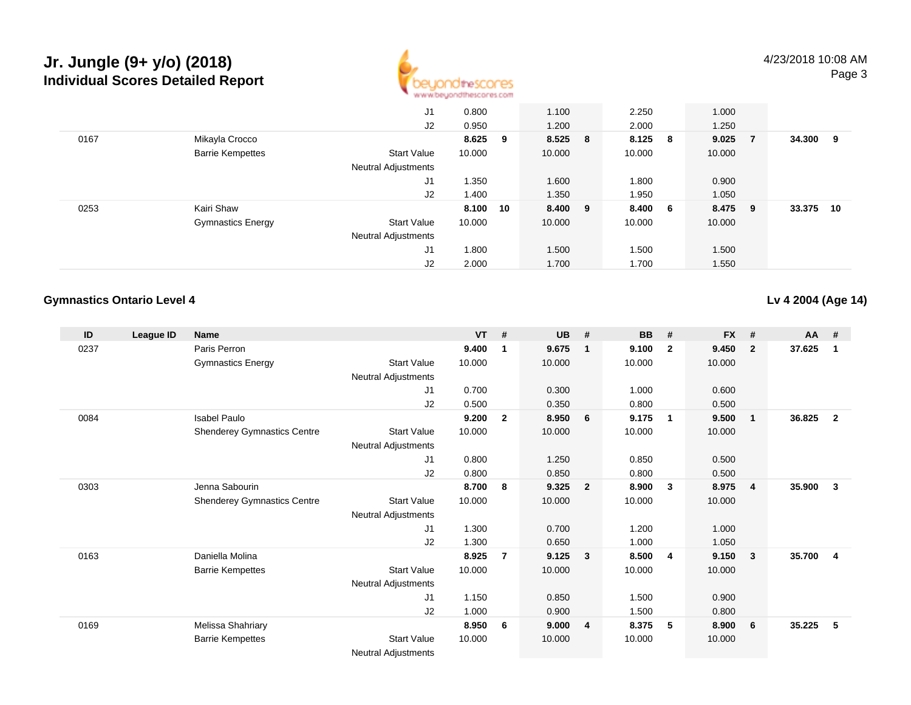

|      |                          | J1                         | 0.800    |     | 1.100   | 2.250   | 1.000  |              |        |    |
|------|--------------------------|----------------------------|----------|-----|---------|---------|--------|--------------|--------|----|
|      |                          | J2                         | 0.950    |     | 1.200   | 2.000   | 1.250  |              |        |    |
| 0167 | Mikayla Crocco           |                            | 8.625    | - 9 | 8.525 8 | 8.125 8 | 9.025  | $\mathbf{7}$ | 34.300 | 9  |
|      | <b>Barrie Kempettes</b>  | <b>Start Value</b>         | 10.000   |     | 10.000  | 10.000  | 10.000 |              |        |    |
|      |                          | <b>Neutral Adjustments</b> |          |     |         |         |        |              |        |    |
|      |                          | J1                         | .350     |     | 1.600   | 1.800   | 0.900  |              |        |    |
|      |                          | J2                         | 1.400    |     | 1.350   | 1.950   | 1.050  |              |        |    |
| 0253 | Kairi Shaw               |                            | 8.100 10 |     | 8.400 9 | 8.400 6 | 8.475  | - 9          | 33.375 | 10 |
|      | <b>Gymnastics Energy</b> | <b>Start Value</b>         | 10.000   |     | 10.000  | 10.000  | 10.000 |              |        |    |
|      |                          | Neutral Adjustments        |          |     |         |         |        |              |        |    |
|      |                          | J1                         | 1.800    |     | 1.500   | 1.500   | 1.500  |              |        |    |
|      |                          | J2                         | 2.000    |     | 1.700   | 1.700   | 1.550  |              |        |    |

#### **Gymnastics Ontario Level 4**

**Lv 4 2004 (Age 14)**

| ID   | League ID | <b>Name</b>                        |                            | <b>VT</b> | #              | <b>UB</b> | #                       | <b>BB</b> | #                       | <b>FX</b> | #              | AA #   |                |
|------|-----------|------------------------------------|----------------------------|-----------|----------------|-----------|-------------------------|-----------|-------------------------|-----------|----------------|--------|----------------|
| 0237 |           | Paris Perron                       |                            | 9.400     | 1              | 9.675     | $\mathbf 1$             | 9.100     | $\overline{2}$          | 9.450     | $\mathbf{2}$   | 37.625 | -1             |
|      |           | <b>Gymnastics Energy</b>           | <b>Start Value</b>         | 10.000    |                | 10.000    |                         | 10.000    |                         | 10.000    |                |        |                |
|      |           |                                    | <b>Neutral Adjustments</b> |           |                |           |                         |           |                         |           |                |        |                |
|      |           |                                    | J1                         | 0.700     |                | 0.300     |                         | 1.000     |                         | 0.600     |                |        |                |
|      |           |                                    | J2                         | 0.500     |                | 0.350     |                         | 0.800     |                         | 0.500     |                |        |                |
| 0084 |           | <b>Isabel Paulo</b>                |                            | 9.200     | $\mathbf{2}$   | 8.950     | 6                       | 9.175     | $\overline{\mathbf{1}}$ | 9.500     | $\mathbf{1}$   | 36.825 | $\mathbf{2}$   |
|      |           | <b>Shenderey Gymnastics Centre</b> | Start Value                | 10.000    |                | 10.000    |                         | 10.000    |                         | 10.000    |                |        |                |
|      |           |                                    | Neutral Adjustments        |           |                |           |                         |           |                         |           |                |        |                |
|      |           |                                    | J1                         | 0.800     |                | 1.250     |                         | 0.850     |                         | 0.500     |                |        |                |
|      |           |                                    | J2                         | 0.800     |                | 0.850     |                         | 0.800     |                         | 0.500     |                |        |                |
| 0303 |           | Jenna Sabourin                     |                            | 8.700     | 8              | 9.325     | $\overline{\mathbf{2}}$ | 8.900     | $\mathbf{3}$            | 8.975     | $\overline{4}$ | 35.900 | $\mathbf{3}$   |
|      |           | <b>Shenderey Gymnastics Centre</b> | <b>Start Value</b>         | 10.000    |                | 10.000    |                         | 10.000    |                         | 10.000    |                |        |                |
|      |           |                                    | Neutral Adjustments        |           |                |           |                         |           |                         |           |                |        |                |
|      |           |                                    | J1                         | 1.300     |                | 0.700     |                         | 1.200     |                         | 1.000     |                |        |                |
|      |           |                                    | J2                         | 1.300     |                | 0.650     |                         | 1.000     |                         | 1.050     |                |        |                |
| 0163 |           | Daniella Molina                    |                            | 8.925     | $\overline{7}$ | 9.125     | $\overline{\mathbf{3}}$ | 8.500     | -4                      | 9.150     | $\mathbf{3}$   | 35.700 | $\overline{4}$ |
|      |           | <b>Barrie Kempettes</b>            | <b>Start Value</b>         | 10.000    |                | 10.000    |                         | 10.000    |                         | 10.000    |                |        |                |
|      |           |                                    | Neutral Adjustments        |           |                |           |                         |           |                         |           |                |        |                |
|      |           |                                    | J1                         | 1.150     |                | 0.850     |                         | 1.500     |                         | 0.900     |                |        |                |
|      |           |                                    | J <sub>2</sub>             | 1.000     |                | 0.900     |                         | 1.500     |                         | 0.800     |                |        |                |
| 0169 |           | Melissa Shahriary                  |                            | 8.950     | 6              | 9.000     | $\overline{4}$          | 8.375     | 5                       | 8.900     | 6              | 35.225 | 5              |
|      |           | <b>Barrie Kempettes</b>            | <b>Start Value</b>         | 10.000    |                | 10.000    |                         | 10.000    |                         | 10.000    |                |        |                |
|      |           |                                    | <b>Neutral Adjustments</b> |           |                |           |                         |           |                         |           |                |        |                |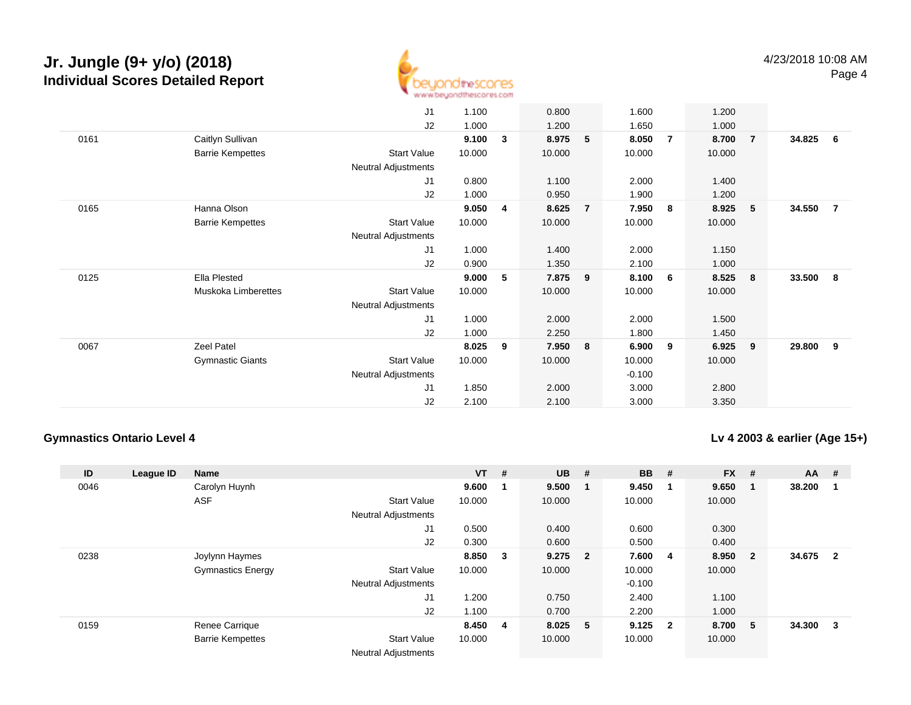

|      |                         | J1                         | 1.100  |   | 0.800  |                | 1.600    |     | 1.200  |                |        |                |
|------|-------------------------|----------------------------|--------|---|--------|----------------|----------|-----|--------|----------------|--------|----------------|
|      |                         | J2                         | 1.000  |   | 1.200  |                | 1.650    |     | 1.000  |                |        |                |
| 0161 | Caitlyn Sullivan        |                            | 9.100  | 3 | 8.975  | 5              | 8.050    | -7  | 8.700  | $\overline{7}$ | 34.825 | 6              |
|      | <b>Barrie Kempettes</b> | <b>Start Value</b>         | 10.000 |   | 10.000 |                | 10.000   |     | 10.000 |                |        |                |
|      |                         | <b>Neutral Adjustments</b> |        |   |        |                |          |     |        |                |        |                |
|      |                         | J1                         | 0.800  |   | 1.100  |                | 2.000    |     | 1.400  |                |        |                |
|      |                         | J2                         | 1.000  |   | 0.950  |                | 1.900    |     | 1.200  |                |        |                |
| 0165 | Hanna Olson             |                            | 9.050  | 4 | 8.625  | $\overline{7}$ | 7.950    | 8   | 8.925  | 5              | 34.550 | $\overline{7}$ |
|      | <b>Barrie Kempettes</b> | <b>Start Value</b>         | 10.000 |   | 10.000 |                | 10.000   |     | 10.000 |                |        |                |
|      |                         | <b>Neutral Adjustments</b> |        |   |        |                |          |     |        |                |        |                |
|      |                         | J1                         | 1.000  |   | 1.400  |                | 2.000    |     | 1.150  |                |        |                |
|      |                         | J2                         | 0.900  |   | 1.350  |                | 2.100    |     | 1.000  |                |        |                |
| 0125 | Ella Plested            |                            | 9.000  | 5 | 7.875  | - 9            | 8.100    | 6   | 8.525  | 8              | 33.500 | 8              |
|      | Muskoka Limberettes     | <b>Start Value</b>         | 10.000 |   | 10.000 |                | 10.000   |     | 10.000 |                |        |                |
|      |                         | <b>Neutral Adjustments</b> |        |   |        |                |          |     |        |                |        |                |
|      |                         | J1                         | 1.000  |   | 2.000  |                | 2.000    |     | 1.500  |                |        |                |
|      |                         | J2                         | 1.000  |   | 2.250  |                | 1.800    |     | 1.450  |                |        |                |
| 0067 | Zeel Patel              |                            | 8.025  | 9 | 7.950  | - 8            | 6.900    | - 9 | 6.925  | 9              | 29.800 | 9              |
|      | <b>Gymnastic Giants</b> | <b>Start Value</b>         | 10.000 |   | 10.000 |                | 10.000   |     | 10.000 |                |        |                |
|      |                         | <b>Neutral Adjustments</b> |        |   |        |                | $-0.100$ |     |        |                |        |                |
|      |                         | J1                         | 1.850  |   | 2.000  |                | 3.000    |     | 2.800  |                |        |                |
|      |                         | J2                         | 2.100  |   | 2.100  |                | 3.000    |     | 3.350  |                |        |                |
|      |                         |                            |        |   |        |                |          |     |        |                |        |                |

#### **Gymnastics Ontario Level 4**

#### **Lv 4 2003 & earlier (Age 15+)**

| ID   | League ID | <b>Name</b>              |                            | $VT$ #  |     | <b>UB</b> | #   | <b>BB</b> | #                       | <b>FX</b> | #                       | <b>AA</b> | #                       |
|------|-----------|--------------------------|----------------------------|---------|-----|-----------|-----|-----------|-------------------------|-----------|-------------------------|-----------|-------------------------|
| 0046 |           | Carolyn Huynh            |                            | 9.600   |     | 9.500     | - 1 | 9.450     | - 1                     | 9.650     | $\mathbf{1}$            | 38.200    |                         |
|      |           | <b>ASF</b>               | <b>Start Value</b>         | 10.000  |     | 10.000    |     | 10.000    |                         | 10.000    |                         |           |                         |
|      |           |                          | <b>Neutral Adjustments</b> |         |     |           |     |           |                         |           |                         |           |                         |
|      |           |                          | J1                         | 0.500   |     | 0.400     |     | 0.600     |                         | 0.300     |                         |           |                         |
|      |           |                          | J2                         | 0.300   |     | 0.600     |     | 0.500     |                         | 0.400     |                         |           |                         |
| 0238 |           | Joylynn Haymes           |                            | 8.850   | - 3 | $9.275$ 2 |     | 7.600     | 4                       | 8.950     | $\overline{\mathbf{2}}$ | 34.675    | $\overline{\mathbf{2}}$ |
|      |           | <b>Gymnastics Energy</b> | <b>Start Value</b>         | 10.000  |     | 10.000    |     | 10.000    |                         | 10.000    |                         |           |                         |
|      |           |                          | <b>Neutral Adjustments</b> |         |     |           |     | $-0.100$  |                         |           |                         |           |                         |
|      |           |                          | J <sub>1</sub>             | 1.200   |     | 0.750     |     | 2.400     |                         | 1.100     |                         |           |                         |
|      |           |                          | J2                         | 1.100   |     | 0.700     |     | 2.200     |                         | 1.000     |                         |           |                         |
| 0159 |           | Renee Carrique           |                            | 8.450 4 |     | 8.025 5   |     | 9.125     | $\overline{\mathbf{2}}$ | 8.700     | -5                      | 34.300    | 3                       |
|      |           | <b>Barrie Kempettes</b>  | <b>Start Value</b>         | 10.000  |     | 10.000    |     | 10.000    |                         | 10.000    |                         |           |                         |
|      |           |                          | <b>Neutral Adjustments</b> |         |     |           |     |           |                         |           |                         |           |                         |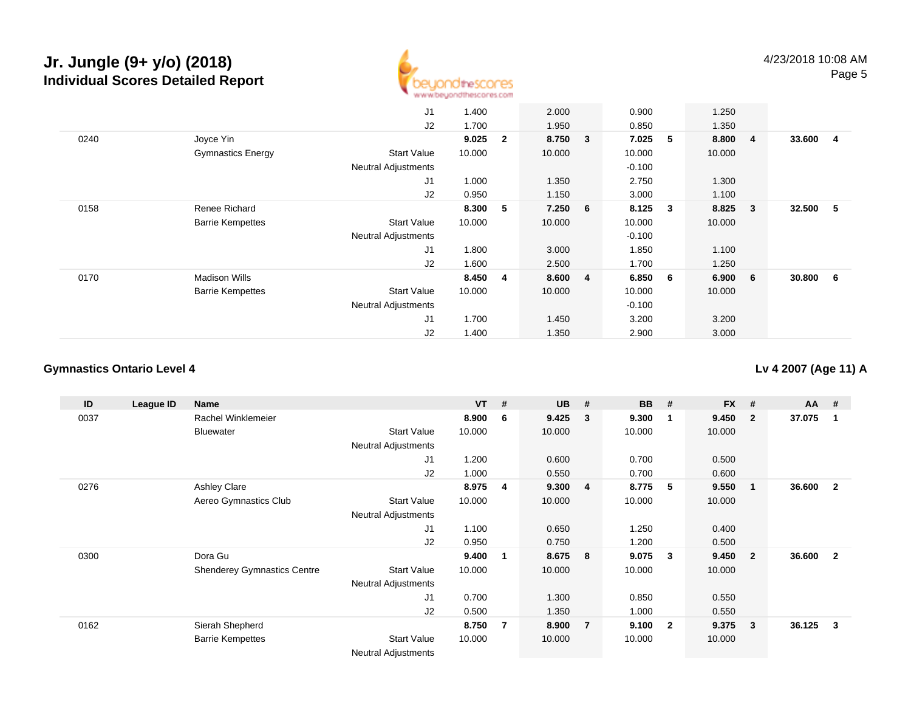

|      |                          | J1                         | 1.400  |                | 2.000   | 0.900    |                         | 1.250  |                         |        |     |
|------|--------------------------|----------------------------|--------|----------------|---------|----------|-------------------------|--------|-------------------------|--------|-----|
|      |                          | J2                         | 1.700  |                | 1.950   | 0.850    |                         | 1.350  |                         |        |     |
| 0240 | Joyce Yin                |                            | 9.025  | $\mathbf{2}$   | 8.750 3 | 7.025    | 5                       | 8.800  | $\overline{4}$          | 33.600 | -4  |
|      | <b>Gymnastics Energy</b> | <b>Start Value</b>         | 10.000 |                | 10.000  | 10.000   |                         | 10.000 |                         |        |     |
|      |                          | <b>Neutral Adjustments</b> |        |                |         | $-0.100$ |                         |        |                         |        |     |
|      |                          | J1                         | 1.000  |                | 1.350   | 2.750    |                         | 1.300  |                         |        |     |
|      |                          | J2                         | 0.950  |                | 1.150   | 3.000    |                         | 1.100  |                         |        |     |
| 0158 | Renee Richard            |                            | 8.300  | 5              | 7.250 6 | 8.125    | $\overline{\mathbf{3}}$ | 8.825  | $\overline{\mathbf{3}}$ | 32.500 | - 5 |
|      | <b>Barrie Kempettes</b>  | <b>Start Value</b>         | 10.000 |                | 10.000  | 10.000   |                         | 10.000 |                         |        |     |
|      |                          | <b>Neutral Adjustments</b> |        |                |         | $-0.100$ |                         |        |                         |        |     |
|      |                          | J <sub>1</sub>             | 1.800  |                | 3.000   | 1.850    |                         | 1.100  |                         |        |     |
|      |                          | J2                         | 1.600  |                | 2.500   | 1.700    |                         | 1.250  |                         |        |     |
| 0170 | Madison Wills            |                            | 8.450  | $\overline{4}$ | 8.600 4 | 6.850    | - 6                     | 6.900  | 6                       | 30.800 | - 6 |
|      | <b>Barrie Kempettes</b>  | <b>Start Value</b>         | 10.000 |                | 10.000  | 10.000   |                         | 10.000 |                         |        |     |
|      |                          | <b>Neutral Adjustments</b> |        |                |         | $-0.100$ |                         |        |                         |        |     |
|      |                          | J <sub>1</sub>             | 1.700  |                | 1.450   | 3.200    |                         | 3.200  |                         |        |     |
|      |                          | J2                         | 1.400  |                | 1.350   | 2.900    |                         | 3.000  |                         |        |     |

### **Gymnastics Ontario Level 4**

**Lv 4 2007 (Age 11) A**

| ID   | League ID | <b>Name</b>                        |                            | $VT$ # |    | <b>UB</b> | #              | <b>BB</b> | #                       | <b>FX</b> | #              | $AA$ # |                |
|------|-----------|------------------------------------|----------------------------|--------|----|-----------|----------------|-----------|-------------------------|-----------|----------------|--------|----------------|
| 0037 |           | Rachel Winklemeier                 |                            | 8.900  | 6  | 9.425     | -3             | 9.300     | $\mathbf 1$             | 9.450     | $\mathbf{2}$   | 37.075 | -1             |
|      |           | <b>Bluewater</b>                   | <b>Start Value</b>         | 10.000 |    | 10.000    |                | 10.000    |                         | 10.000    |                |        |                |
|      |           |                                    | <b>Neutral Adjustments</b> |        |    |           |                |           |                         |           |                |        |                |
|      |           |                                    | J1                         | 1.200  |    | 0.600     |                | 0.700     |                         | 0.500     |                |        |                |
|      |           |                                    | J2                         | 1.000  |    | 0.550     |                | 0.700     |                         | 0.600     |                |        |                |
| 0276 |           | <b>Ashley Clare</b>                |                            | 8.975  | 4  | 9.300     | $\overline{4}$ | 8.775     | -5                      | 9.550     | 1              | 36.600 | $\overline{2}$ |
|      |           | Aereo Gymnastics Club              | <b>Start Value</b>         | 10.000 |    | 10.000    |                | 10.000    |                         | 10.000    |                |        |                |
|      |           |                                    | <b>Neutral Adjustments</b> |        |    |           |                |           |                         |           |                |        |                |
|      |           |                                    | J1                         | 1.100  |    | 0.650     |                | 1.250     |                         | 0.400     |                |        |                |
|      |           |                                    | J2                         | 0.950  |    | 0.750     |                | 1.200     |                         | 0.500     |                |        |                |
| 0300 |           | Dora Gu                            |                            | 9.400  | -1 | 8.675     | - 8            | 9.075     | 3                       | 9.450     | $\overline{2}$ | 36.600 | $\overline{2}$ |
|      |           | <b>Shenderey Gymnastics Centre</b> | <b>Start Value</b>         | 10.000 |    | 10.000    |                | 10.000    |                         | 10.000    |                |        |                |
|      |           |                                    | <b>Neutral Adjustments</b> |        |    |           |                |           |                         |           |                |        |                |
|      |           |                                    | J1                         | 0.700  |    | 1.300     |                | 0.850     |                         | 0.550     |                |        |                |
|      |           |                                    | J2                         | 0.500  |    | 1.350     |                | 1.000     |                         | 0.550     |                |        |                |
| 0162 |           | Sierah Shepherd                    |                            | 8.750  | 7  | 8.900     | $\overline{7}$ | 9.100     | $\overline{\mathbf{2}}$ | 9.375     | 3              | 36.125 | 3              |
|      |           | <b>Barrie Kempettes</b>            | <b>Start Value</b>         | 10.000 |    | 10.000    |                | 10.000    |                         | 10.000    |                |        |                |
|      |           |                                    | <b>Neutral Adjustments</b> |        |    |           |                |           |                         |           |                |        |                |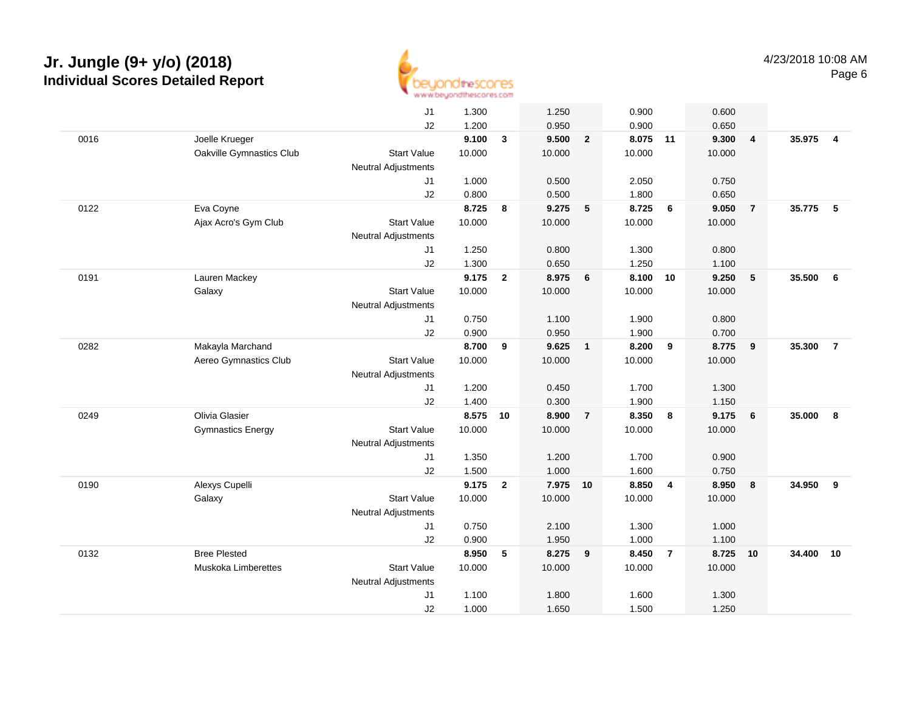

|      |                          | J1                         | 1.300  |                | 1.250    |                         | 0.900    |                | 0.600  |                |        |                         |
|------|--------------------------|----------------------------|--------|----------------|----------|-------------------------|----------|----------------|--------|----------------|--------|-------------------------|
|      |                          | J2                         | 1.200  |                | 0.950    |                         | 0.900    |                | 0.650  |                |        |                         |
| 0016 | Joelle Krueger           |                            | 9.100  | $\mathbf{3}$   | 9.500    | $\overline{2}$          | 8.075 11 |                | 9.300  | $\overline{4}$ | 35.975 | $\overline{\mathbf{4}}$ |
|      | Oakville Gymnastics Club | <b>Start Value</b>         | 10.000 |                | 10.000   |                         | 10.000   |                | 10.000 |                |        |                         |
|      |                          | <b>Neutral Adjustments</b> |        |                |          |                         |          |                |        |                |        |                         |
|      |                          | J1                         | 1.000  |                | 0.500    |                         | 2.050    |                | 0.750  |                |        |                         |
|      |                          | J2                         | 0.800  |                | 0.500    |                         | 1.800    |                | 0.650  |                |        |                         |
| 0122 | Eva Coyne                |                            | 8.725  | 8              | 9.275    | $5\phantom{.0}$         | 8.725    | 6              | 9.050  | $\overline{7}$ | 35.775 | 5                       |
|      | Ajax Acro's Gym Club     | <b>Start Value</b>         | 10.000 |                | 10.000   |                         | 10.000   |                | 10.000 |                |        |                         |
|      |                          | <b>Neutral Adjustments</b> |        |                |          |                         |          |                |        |                |        |                         |
|      |                          | J1                         | 1.250  |                | 0.800    |                         | 1.300    |                | 0.800  |                |        |                         |
|      |                          | J2                         | 1.300  |                | 0.650    |                         | 1.250    |                | 1.100  |                |        |                         |
| 0191 | Lauren Mackey            |                            | 9.175  | $\overline{2}$ | 8.975    | 6                       | 8.100    | 10             | 9.250  | 5              | 35.500 | 6                       |
|      | Galaxy                   | <b>Start Value</b>         | 10.000 |                | 10.000   |                         | 10.000   |                | 10.000 |                |        |                         |
|      |                          | Neutral Adjustments        |        |                |          |                         |          |                |        |                |        |                         |
|      |                          | J1                         | 0.750  |                | 1.100    |                         | 1.900    |                | 0.800  |                |        |                         |
|      |                          | J2                         | 0.900  |                | 0.950    |                         | 1.900    |                | 0.700  |                |        |                         |
| 0282 | Makayla Marchand         |                            | 8.700  | 9              | 9.625    | $\overline{1}$          | 8.200    | 9              | 8.775  | 9              | 35,300 | $\overline{7}$          |
|      | Aereo Gymnastics Club    | <b>Start Value</b>         | 10.000 |                | 10.000   |                         | 10.000   |                | 10.000 |                |        |                         |
|      |                          | <b>Neutral Adjustments</b> |        |                |          |                         |          |                |        |                |        |                         |
|      |                          | J <sub>1</sub>             | 1.200  |                | 0.450    |                         | 1.700    |                | 1.300  |                |        |                         |
|      |                          | J2                         | 1.400  |                | 0.300    |                         | 1.900    |                | 1.150  |                |        |                         |
| 0249 | Olivia Glasier           |                            | 8.575  | 10             | 8.900    | $\overline{7}$          | 8.350    | 8              | 9.175  | 6              | 35.000 | 8                       |
|      | <b>Gymnastics Energy</b> | <b>Start Value</b>         | 10.000 |                | 10.000   |                         | 10.000   |                | 10.000 |                |        |                         |
|      |                          | <b>Neutral Adjustments</b> |        |                |          |                         |          |                |        |                |        |                         |
|      |                          | J <sub>1</sub>             | 1.350  |                | 1.200    |                         | 1.700    |                | 0.900  |                |        |                         |
|      |                          | J2                         | 1.500  |                | 1.000    |                         | 1.600    |                | 0.750  |                |        |                         |
| 0190 | Alexys Cupelli           |                            | 9.175  | $\overline{2}$ | 7.975 10 |                         | 8.850    | $\overline{4}$ | 8.950  | 8              | 34.950 | 9                       |
|      | Galaxy                   | <b>Start Value</b>         | 10.000 |                | 10.000   |                         | 10.000   |                | 10.000 |                |        |                         |
|      |                          | Neutral Adjustments        |        |                |          |                         |          |                |        |                |        |                         |
|      |                          | J <sub>1</sub>             | 0.750  |                | 2.100    |                         | 1.300    |                | 1.000  |                |        |                         |
|      |                          | J2                         | 0.900  |                | 1.950    |                         | 1.000    |                | 1.100  |                |        |                         |
| 0132 | <b>Bree Plested</b>      |                            | 8.950  | 5              | 8.275    | $\overline{\mathbf{9}}$ | 8.450    | $\overline{7}$ | 8.725  | 10             | 34.400 | 10                      |
|      | Muskoka Limberettes      | <b>Start Value</b>         | 10.000 |                | 10.000   |                         | 10.000   |                | 10.000 |                |        |                         |
|      |                          | <b>Neutral Adjustments</b> |        |                |          |                         |          |                |        |                |        |                         |
|      |                          | J <sub>1</sub>             | 1.100  |                | 1.800    |                         | 1.600    |                | 1.300  |                |        |                         |
|      |                          | J2                         | 1.000  |                | 1.650    |                         | 1.500    |                | 1.250  |                |        |                         |
|      |                          |                            |        |                |          |                         |          |                |        |                |        |                         |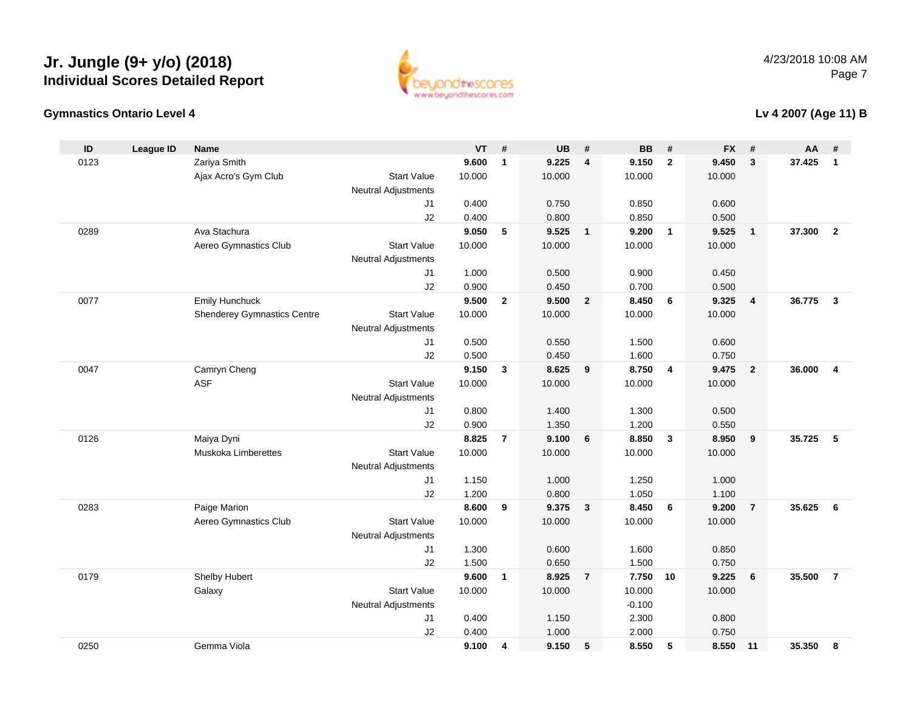



### **Gymnastics Ontario Level 4**

### **Lv 4 2007 (Age 11) B**

| ID   | <b>League ID</b> | <b>Name</b>                        |                            | VT     | #              | <b>UB</b> | #                       | <b>BB</b>      | #                       | <b>FX</b>      | #                       | AA     | #                       |
|------|------------------|------------------------------------|----------------------------|--------|----------------|-----------|-------------------------|----------------|-------------------------|----------------|-------------------------|--------|-------------------------|
| 0123 |                  | Zariya Smith                       |                            | 9.600  | $\mathbf{1}$   | 9.225     | 4                       | 9.150          | $\overline{2}$          | 9.450          | 3                       | 37.425 | $\mathbf{1}$            |
|      |                  | Ajax Acro's Gym Club               | <b>Start Value</b>         | 10.000 |                | 10.000    |                         | 10.000         |                         | 10.000         |                         |        |                         |
|      |                  |                                    | <b>Neutral Adjustments</b> |        |                |           |                         |                |                         |                |                         |        |                         |
|      |                  |                                    | J1                         | 0.400  |                | 0.750     |                         | 0.850          |                         | 0.600          |                         |        |                         |
|      |                  |                                    | J2                         | 0.400  |                | 0.800     |                         | 0.850          |                         | 0.500          |                         |        |                         |
| 0289 |                  | Ava Stachura                       |                            | 9.050  | 5              | 9.525     | $\overline{\mathbf{1}}$ | 9.200          | $\overline{\mathbf{1}}$ | 9.525          | $\overline{1}$          | 37.300 | $\overline{2}$          |
|      |                  | Aereo Gymnastics Club              | <b>Start Value</b>         | 10.000 |                | 10.000    |                         | 10.000         |                         | 10.000         |                         |        |                         |
|      |                  |                                    | Neutral Adjustments        |        |                |           |                         |                |                         |                |                         |        |                         |
|      |                  |                                    | J1                         | 1.000  |                | 0.500     |                         | 0.900          |                         | 0.450          |                         |        |                         |
|      |                  |                                    | J2                         | 0.900  |                | 0.450     |                         | 0.700          |                         | 0.500          |                         |        |                         |
| 0077 |                  | <b>Emily Hunchuck</b>              |                            | 9.500  | $\mathbf{2}$   | 9.500     | $\overline{2}$          | 8.450          | 6                       | 9.325          | $\overline{\mathbf{4}}$ | 36.775 | $\overline{3}$          |
|      |                  | <b>Shenderey Gymnastics Centre</b> | <b>Start Value</b>         | 10.000 |                | 10.000    |                         | 10.000         |                         | 10.000         |                         |        |                         |
|      |                  |                                    | Neutral Adjustments        |        |                |           |                         |                |                         |                |                         |        |                         |
|      |                  |                                    | J1                         | 0.500  |                | 0.550     |                         | 1.500          |                         | 0.600          |                         |        |                         |
|      |                  |                                    | J2                         | 0.500  |                | 0.450     |                         | 1.600          |                         | 0.750          |                         |        |                         |
| 0047 |                  | Camryn Cheng                       |                            | 9.150  | $\mathbf{3}$   | 8.625     | 9                       | 8.750          | $\overline{4}$          | 9.475          | $\overline{2}$          | 36.000 | $\overline{\mathbf{4}}$ |
|      |                  | <b>ASF</b>                         | <b>Start Value</b>         | 10.000 |                | 10.000    |                         | 10.000         |                         | 10.000         |                         |        |                         |
|      |                  |                                    | Neutral Adjustments        |        |                |           |                         |                |                         |                |                         |        |                         |
|      |                  |                                    | J <sub>1</sub>             | 0.800  |                | 1.400     |                         | 1.300          |                         | 0.500          |                         |        |                         |
|      |                  |                                    | J2                         | 0.900  |                | 1.350     |                         | 1.200          |                         | 0.550          |                         |        |                         |
| 0126 |                  | Maiya Dyni                         |                            | 8.825  | $\overline{7}$ | 9.100     | 6                       | 8.850          | $\mathbf{3}$            | 8.950          | 9                       | 35.725 | 5                       |
|      |                  | <b>Muskoka Limberettes</b>         | <b>Start Value</b>         | 10.000 |                | 10.000    |                         | 10.000         |                         | 10.000         |                         |        |                         |
|      |                  |                                    | <b>Neutral Adjustments</b> |        |                |           |                         |                |                         |                |                         |        |                         |
|      |                  |                                    | J <sub>1</sub>             | 1.150  |                | 1.000     |                         | 1.250          |                         | 1.000          |                         |        |                         |
|      |                  |                                    | J2                         | 1.200  |                | 0.800     |                         | 1.050          |                         | 1.100          |                         |        |                         |
| 0283 |                  | Paige Marion                       |                            | 8.600  | 9              | 9.375     | $\mathbf{3}$            | 8.450          | 6                       | 9.200          | $\overline{7}$          | 35.625 | 6                       |
|      |                  | Aereo Gymnastics Club              | <b>Start Value</b>         | 10.000 |                | 10.000    |                         | 10.000         |                         | 10.000         |                         |        |                         |
|      |                  |                                    | <b>Neutral Adjustments</b> |        |                |           |                         |                |                         |                |                         |        |                         |
|      |                  |                                    | J <sub>1</sub>             | 1.300  |                | 0.600     |                         | 1.600          |                         | 0.850          |                         |        |                         |
|      |                  |                                    | J2                         | 1.500  |                | 0.650     |                         | 1.500          |                         | 0.750          |                         |        |                         |
| 0179 |                  | Shelby Hubert                      |                            | 9.600  | $\mathbf{1}$   | 8.925     | $\overline{7}$          | 7.750          | 10                      | 9.225          | 6                       | 35.500 | $\overline{7}$          |
|      |                  | Galaxy                             | <b>Start Value</b>         | 10.000 |                | 10.000    |                         | 10.000         |                         | 10.000         |                         |        |                         |
|      |                  |                                    | <b>Neutral Adjustments</b> | 0.400  |                | 1.150     |                         | $-0.100$       |                         |                |                         |        |                         |
|      |                  |                                    | J <sub>1</sub><br>J2       | 0.400  |                | 1.000     |                         | 2.300<br>2.000 |                         | 0.800<br>0.750 |                         |        |                         |
| 0250 |                  | Gemma Viola                        |                            | 9.100  | 4              | 9.150     | 5                       | 8.550          | 5                       | 8.550          | 11                      | 35.350 | 8                       |
|      |                  |                                    |                            |        |                |           |                         |                |                         |                |                         |        |                         |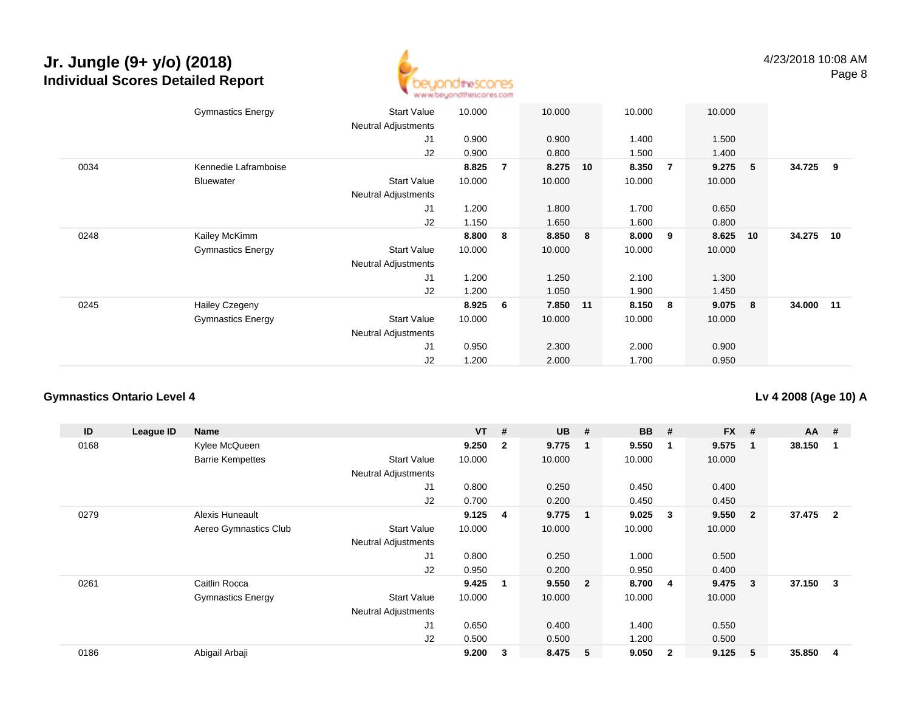

|      | <b>Gymnastics Energy</b> | <b>Start Value</b><br><b>Neutral Adjustments</b> | 10.000 |                | 10.000   |    | 10.000 |                | 10.000 |                         |           |     |
|------|--------------------------|--------------------------------------------------|--------|----------------|----------|----|--------|----------------|--------|-------------------------|-----------|-----|
|      |                          | J1                                               | 0.900  |                | 0.900    |    | 1.400  |                | 1.500  |                         |           |     |
|      |                          | J2                                               | 0.900  |                | 0.800    |    | 1.500  |                | 1.400  |                         |           |     |
| 0034 | Kennedie Laframboise     |                                                  | 8.825  | $\overline{7}$ | 8.275    | 10 | 8.350  | $\overline{7}$ | 9.275  | - 5                     | 34.725    | - 9 |
|      | Bluewater                | <b>Start Value</b>                               | 10.000 |                | 10.000   |    | 10.000 |                | 10.000 |                         |           |     |
|      |                          | <b>Neutral Adjustments</b>                       |        |                |          |    |        |                |        |                         |           |     |
|      |                          | J1                                               | 1.200  |                | 1.800    |    | 1.700  |                | 0.650  |                         |           |     |
|      |                          | J2                                               | 1.150  |                | 1.650    |    | 1.600  |                | 0.800  |                         |           |     |
| 0248 | Kailey McKimm            |                                                  | 8.800  | 8              | 8.850    | 8  | 8.000  | 9              | 8.625  | 10                      | 34.275 10 |     |
|      | <b>Gymnastics Energy</b> | <b>Start Value</b>                               | 10.000 |                | 10.000   |    | 10.000 |                | 10.000 |                         |           |     |
|      |                          | <b>Neutral Adjustments</b>                       |        |                |          |    |        |                |        |                         |           |     |
|      |                          | J1                                               | 1.200  |                | 1.250    |    | 2.100  |                | 1.300  |                         |           |     |
|      |                          | J2                                               | 1.200  |                | 1.050    |    | 1.900  |                | 1.450  |                         |           |     |
| 0245 | <b>Hailey Czegeny</b>    |                                                  | 8.925  | 6              | 7.850 11 |    | 8.150  | 8              | 9.075  | $\overline{\mathbf{8}}$ | 34.000 11 |     |
|      | <b>Gymnastics Energy</b> | <b>Start Value</b>                               | 10.000 |                | 10.000   |    | 10.000 |                | 10.000 |                         |           |     |
|      |                          | <b>Neutral Adjustments</b>                       |        |                |          |    |        |                |        |                         |           |     |
|      |                          | J <sub>1</sub>                                   | 0.950  |                | 2.300    |    | 2.000  |                | 0.900  |                         |           |     |
|      |                          | J2                                               | 1.200  |                | 2.000    |    | 1.700  |                | 0.950  |                         |           |     |

### **Gymnastics Ontario Level 4**

**Lv 4 2008 (Age 10) A**

| ID   | League ID | <b>Name</b>              |                            | $VT$ # |                         | <b>UB</b> | #                       | <b>BB</b> | #              | $FX$ # |                | $AA$ # |                |
|------|-----------|--------------------------|----------------------------|--------|-------------------------|-----------|-------------------------|-----------|----------------|--------|----------------|--------|----------------|
| 0168 |           | Kylee McQueen            |                            | 9.250  | $\overline{\mathbf{2}}$ | 9.775     | $\overline{\mathbf{1}}$ | 9.550     | -1             | 9.575  | $\mathbf{1}$   | 38.150 |                |
|      |           | <b>Barrie Kempettes</b>  | <b>Start Value</b>         | 10.000 |                         | 10.000    |                         | 10.000    |                | 10.000 |                |        |                |
|      |           |                          | <b>Neutral Adjustments</b> |        |                         |           |                         |           |                |        |                |        |                |
|      |           |                          | J1                         | 0.800  |                         | 0.250     |                         | 0.450     |                | 0.400  |                |        |                |
|      |           |                          | J2                         | 0.700  |                         | 0.200     |                         | 0.450     |                | 0.450  |                |        |                |
| 0279 |           | Alexis Huneault          |                            | 9.125  | 4                       | 9.775     | $\overline{\mathbf{1}}$ | 9.025     | 3              | 9.550  | $\overline{2}$ | 37.475 | $\overline{2}$ |
|      |           | Aereo Gymnastics Club    | <b>Start Value</b>         | 10.000 |                         | 10.000    |                         | 10.000    |                | 10.000 |                |        |                |
|      |           |                          | <b>Neutral Adjustments</b> |        |                         |           |                         |           |                |        |                |        |                |
|      |           |                          | J1                         | 0.800  |                         | 0.250     |                         | 1.000     |                | 0.500  |                |        |                |
|      |           |                          | J <sub>2</sub>             | 0.950  |                         | 0.200     |                         | 0.950     |                | 0.400  |                |        |                |
| 0261 |           | Caitlin Rocca            |                            | 9.425  |                         | 9.550     | $\overline{\mathbf{2}}$ | 8.700     | $\overline{4}$ | 9.475  | $\mathbf{3}$   | 37.150 | 3              |
|      |           | <b>Gymnastics Energy</b> | <b>Start Value</b>         | 10.000 |                         | 10.000    |                         | 10.000    |                | 10.000 |                |        |                |
|      |           |                          | <b>Neutral Adjustments</b> |        |                         |           |                         |           |                |        |                |        |                |
|      |           |                          | J1                         | 0.650  |                         | 0.400     |                         | 1.400     |                | 0.550  |                |        |                |
|      |           |                          | J <sub>2</sub>             | 0.500  |                         | 0.500     |                         | 1.200     |                | 0.500  |                |        |                |
| 0186 |           | Abigail Arbaji           |                            | 9.200  | 3                       | 8.475     | -5                      | 9.050     | $\overline{2}$ | 9.125  | 5              | 35.850 | 4              |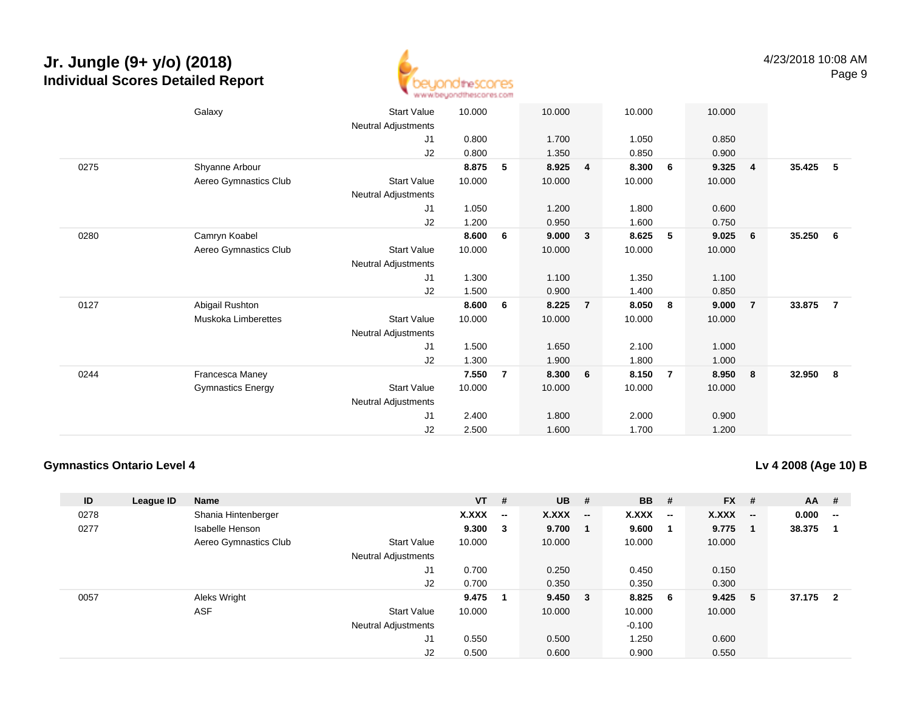

|      | Galaxy                   | <b>Start Value</b>  | 10.000 |                | 10.000 |                | 10.000 |                | 10.000 |                |        |                |
|------|--------------------------|---------------------|--------|----------------|--------|----------------|--------|----------------|--------|----------------|--------|----------------|
|      |                          | Neutral Adjustments |        |                |        |                |        |                |        |                |        |                |
|      |                          | J1                  | 0.800  |                | 1.700  |                | 1.050  |                | 0.850  |                |        |                |
|      |                          | J2                  | 0.800  |                | 1.350  |                | 0.850  |                | 0.900  |                |        |                |
| 0275 | Shyanne Arbour           |                     | 8.875  | 5              | 8.925  | 4              | 8.300  | 6              | 9.325  | $\overline{4}$ | 35.425 | - 5            |
|      | Aereo Gymnastics Club    | <b>Start Value</b>  | 10.000 |                | 10.000 |                | 10.000 |                | 10.000 |                |        |                |
|      |                          | Neutral Adjustments |        |                |        |                |        |                |        |                |        |                |
|      |                          | J1                  | 1.050  |                | 1.200  |                | 1.800  |                | 0.600  |                |        |                |
|      |                          | J2                  | 1.200  |                | 0.950  |                | 1.600  |                | 0.750  |                |        |                |
| 0280 | Camryn Koabel            |                     | 8.600  | 6              | 9.000  | 3              | 8.625  | 5              | 9.025  | - 6            | 35.250 | - 6            |
|      | Aereo Gymnastics Club    | <b>Start Value</b>  | 10.000 |                | 10.000 |                | 10.000 |                | 10.000 |                |        |                |
|      |                          | Neutral Adjustments |        |                |        |                |        |                |        |                |        |                |
|      |                          | J1                  | 1.300  |                | 1.100  |                | 1.350  |                | 1.100  |                |        |                |
|      |                          | J2                  | 1.500  |                | 0.900  |                | 1.400  |                | 0.850  |                |        |                |
| 0127 | Abigail Rushton          |                     | 8.600  | 6              | 8.225  | $\overline{7}$ | 8.050  | - 8            | 9.000  | $\overline{7}$ | 33.875 | $\overline{7}$ |
|      | Muskoka Limberettes      | <b>Start Value</b>  | 10.000 |                | 10.000 |                | 10.000 |                | 10.000 |                |        |                |
|      |                          | Neutral Adjustments |        |                |        |                |        |                |        |                |        |                |
|      |                          | J <sub>1</sub>      | 1.500  |                | 1.650  |                | 2.100  |                | 1.000  |                |        |                |
|      |                          | J2                  | 1.300  |                | 1.900  |                | 1.800  |                | 1.000  |                |        |                |
| 0244 | Francesca Maney          |                     | 7.550  | $\overline{7}$ | 8.300  | 6              | 8.150  | $\overline{7}$ | 8.950  | 8              | 32.950 | - 8            |
|      | <b>Gymnastics Energy</b> | <b>Start Value</b>  | 10.000 |                | 10.000 |                | 10.000 |                | 10.000 |                |        |                |
|      |                          | Neutral Adjustments |        |                |        |                |        |                |        |                |        |                |
|      |                          | J1                  | 2.400  |                | 1.800  |                | 2.000  |                | 0.900  |                |        |                |
|      |                          | J2                  | 2.500  |                | 1.600  |                | 1.700  |                | 1.200  |                |        |                |
|      |                          |                     |        |                |        |                |        |                |        |                |        |                |

#### **Gymnastics Ontario Level 4**

**Lv 4 2008 (Age 10) B**

| ID   | League ID | Name                  |                            | $VT$ # |                          | <b>UB</b>    | #            | <b>BB</b> | #                        | <b>FX</b> | #                        | $AA$ # |                          |
|------|-----------|-----------------------|----------------------------|--------|--------------------------|--------------|--------------|-----------|--------------------------|-----------|--------------------------|--------|--------------------------|
| 0278 |           | Shania Hintenberger   |                            | X.XXX  | $\overline{\phantom{a}}$ | <b>X.XXX</b> | --           | X.XXX     | $\overline{\phantom{a}}$ | X.XXX     | $\overline{\phantom{a}}$ | 0.000  | $\overline{\phantom{a}}$ |
| 0277 |           | Isabelle Henson       |                            | 9.300  | $_{3}$                   | 9.700        |              | 9.600     |                          | 9.775     | -1                       | 38.375 |                          |
|      |           | Aereo Gymnastics Club | <b>Start Value</b>         | 10.000 |                          | 10.000       |              | 10.000    |                          | 10.000    |                          |        |                          |
|      |           |                       | <b>Neutral Adjustments</b> |        |                          |              |              |           |                          |           |                          |        |                          |
|      |           |                       | J <sub>1</sub>             | 0.700  |                          | 0.250        |              | 0.450     |                          | 0.150     |                          |        |                          |
|      |           |                       | J2                         | 0.700  |                          | 0.350        |              | 0.350     |                          | 0.300     |                          |        |                          |
| 0057 |           | Aleks Wright          |                            | 9.475  |                          | 9.450        | $\mathbf{3}$ | 8.825     | - 6                      | 9.425     | 5                        | 37.175 | $\overline{2}$           |
|      |           | <b>ASF</b>            | <b>Start Value</b>         | 10.000 |                          | 10.000       |              | 10.000    |                          | 10.000    |                          |        |                          |
|      |           |                       | <b>Neutral Adjustments</b> |        |                          |              |              | $-0.100$  |                          |           |                          |        |                          |
|      |           |                       | J <sub>1</sub>             | 0.550  |                          | 0.500        |              | 1.250     |                          | 0.600     |                          |        |                          |
|      |           |                       | J2                         | 0.500  |                          | 0.600        |              | 0.900     |                          | 0.550     |                          |        |                          |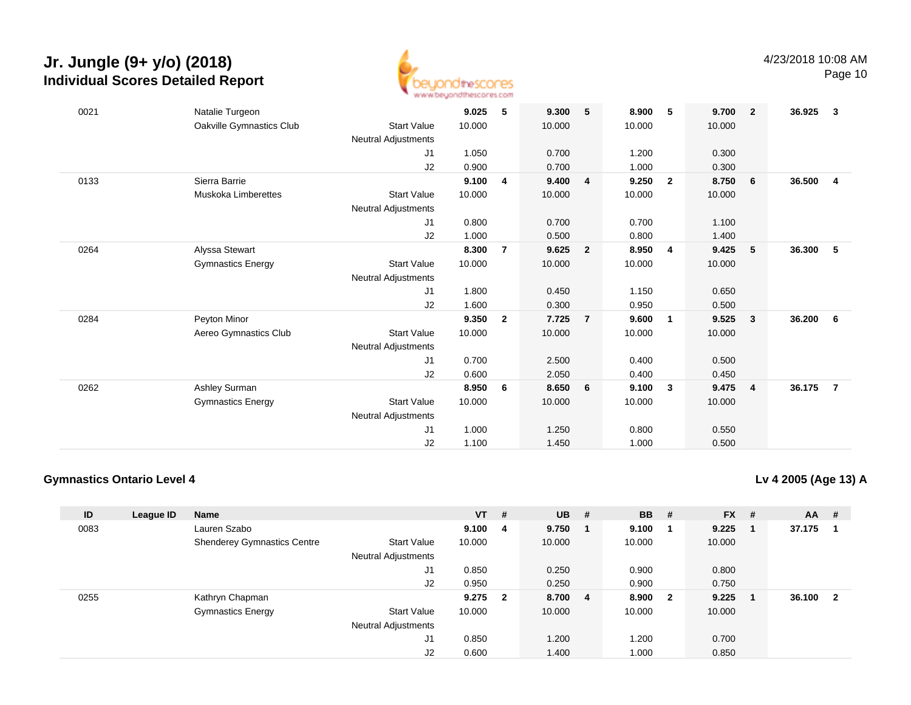

Page 10

| 0021 | Natalie Turgeon            |                            | 9.025  | 5              | 9.300  | 5              | 8.900  | 5              | 9.700  | $\overline{\mathbf{2}}$ | 36.925 | $\overline{\mathbf{3}}$ |
|------|----------------------------|----------------------------|--------|----------------|--------|----------------|--------|----------------|--------|-------------------------|--------|-------------------------|
|      | Oakville Gymnastics Club   | <b>Start Value</b>         | 10.000 |                | 10.000 |                | 10.000 |                | 10.000 |                         |        |                         |
|      |                            | <b>Neutral Adjustments</b> |        |                |        |                |        |                |        |                         |        |                         |
|      |                            | J1                         | 1.050  |                | 0.700  |                | 1.200  |                | 0.300  |                         |        |                         |
|      |                            | J2                         | 0.900  |                | 0.700  |                | 1.000  |                | 0.300  |                         |        |                         |
| 0133 | Sierra Barrie              |                            | 9.100  | 4              | 9.400  | $\overline{4}$ | 9.250  | $\overline{2}$ | 8.750  | 6                       | 36.500 | $\overline{\mathbf{4}}$ |
|      | <b>Muskoka Limberettes</b> | <b>Start Value</b>         | 10.000 |                | 10.000 |                | 10.000 |                | 10.000 |                         |        |                         |
|      |                            | <b>Neutral Adjustments</b> |        |                |        |                |        |                |        |                         |        |                         |
|      |                            | J1                         | 0.800  |                | 0.700  |                | 0.700  |                | 1.100  |                         |        |                         |
|      |                            | J2                         | 1.000  |                | 0.500  |                | 0.800  |                | 1.400  |                         |        |                         |
| 0264 | Alyssa Stewart             |                            | 8.300  | $\overline{7}$ | 9.625  | $\overline{2}$ | 8.950  | $\overline{4}$ | 9.425  | $5\phantom{.0}$         | 36.300 | 5                       |
|      | <b>Gymnastics Energy</b>   | <b>Start Value</b>         | 10.000 |                | 10.000 |                | 10.000 |                | 10.000 |                         |        |                         |
|      |                            | <b>Neutral Adjustments</b> |        |                |        |                |        |                |        |                         |        |                         |
|      |                            | J1                         | 1.800  |                | 0.450  |                | 1.150  |                | 0.650  |                         |        |                         |
|      |                            | J2                         | 1.600  |                | 0.300  |                | 0.950  |                | 0.500  |                         |        |                         |
| 0284 | Peyton Minor               |                            | 9.350  | $\overline{2}$ | 7.725  | $\overline{7}$ | 9.600  | 1              | 9.525  | $\overline{\mathbf{3}}$ | 36.200 | 6                       |
|      | Aereo Gymnastics Club      | <b>Start Value</b>         | 10.000 |                | 10.000 |                | 10.000 |                | 10.000 |                         |        |                         |
|      |                            | Neutral Adjustments        |        |                |        |                |        |                |        |                         |        |                         |
|      |                            | J <sub>1</sub>             | 0.700  |                | 2.500  |                | 0.400  |                | 0.500  |                         |        |                         |
|      |                            | J <sub>2</sub>             | 0.600  |                | 2.050  |                | 0.400  |                | 0.450  |                         |        |                         |
| 0262 | Ashley Surman              |                            | 8.950  | 6              | 8.650  | 6              | 9.100  | 3              | 9.475  | $\overline{4}$          | 36.175 | $\overline{7}$          |
|      | <b>Gymnastics Energy</b>   | <b>Start Value</b>         | 10.000 |                | 10.000 |                | 10.000 |                | 10.000 |                         |        |                         |
|      |                            | <b>Neutral Adjustments</b> |        |                |        |                |        |                |        |                         |        |                         |
|      |                            | J1                         | 1.000  |                | 1.250  |                | 0.800  |                | 0.550  |                         |        |                         |
|      |                            | J2                         | 1.100  |                | 1.450  |                | 1.000  |                | 0.500  |                         |        |                         |

### **Gymnastics Ontario Level 4**

**Lv 4 2005 (Age 13) A**

| ID   | League ID | <b>Name</b>                        |                            | <b>VT</b> | #                       | <b>UB</b> | #                       | <b>BB</b> | #            | $FX$ # | $AA$ # |                         |
|------|-----------|------------------------------------|----------------------------|-----------|-------------------------|-----------|-------------------------|-----------|--------------|--------|--------|-------------------------|
| 0083 |           | Lauren Szabo                       |                            | 9.100     | - 4                     | 9.750     | $\mathbf 1$             | 9.100     |              | 9.225  | 37.175 |                         |
|      |           | <b>Shenderey Gymnastics Centre</b> | <b>Start Value</b>         | 10.000    |                         | 10.000    |                         | 10.000    |              | 10.000 |        |                         |
|      |           |                                    | <b>Neutral Adjustments</b> |           |                         |           |                         |           |              |        |        |                         |
|      |           |                                    | J1                         | 0.850     |                         | 0.250     |                         | 0.900     |              | 0.800  |        |                         |
|      |           |                                    | J2                         | 0.950     |                         | 0.250     |                         | 0.900     |              | 0.750  |        |                         |
| 0255 |           | Kathryn Chapman                    |                            | 9.275     | $\overline{\mathbf{2}}$ | 8.700     | $\overline{\mathbf{4}}$ | 8.900     | $\mathbf{2}$ | 9.225  | 36.100 | $\overline{\mathbf{2}}$ |
|      |           | <b>Gymnastics Energy</b>           | <b>Start Value</b>         | 10.000    |                         | 10.000    |                         | 10.000    |              | 10.000 |        |                         |
|      |           |                                    | <b>Neutral Adjustments</b> |           |                         |           |                         |           |              |        |        |                         |
|      |           |                                    | J1                         | 0.850     |                         | 1.200     |                         | 1.200     |              | 0.700  |        |                         |
|      |           |                                    | J <sub>2</sub>             | 0.600     |                         | 1.400     |                         | 1.000     |              | 0.850  |        |                         |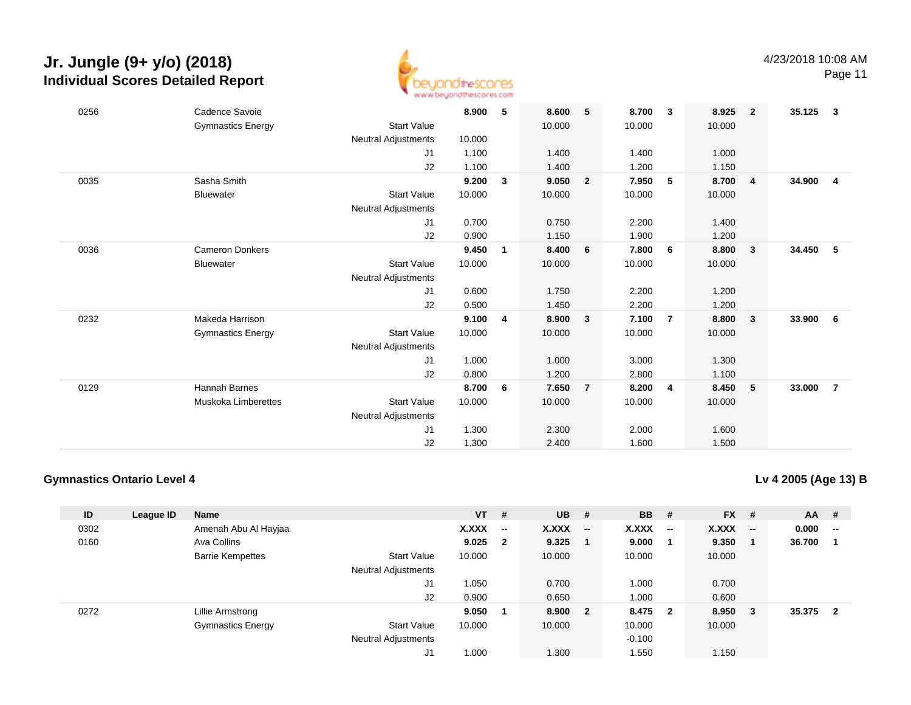

Page 11

| 0256 | Cadence Savoie           |                            | 8.900  | 5            | 8.600  | 5              | 8.700  | $\overline{\mathbf{3}}$ | 8.925  | $\overline{\mathbf{2}}$ | 35.125 | $\overline{\mathbf{3}}$ |
|------|--------------------------|----------------------------|--------|--------------|--------|----------------|--------|-------------------------|--------|-------------------------|--------|-------------------------|
|      | <b>Gymnastics Energy</b> | <b>Start Value</b>         |        |              | 10.000 |                | 10.000 |                         | 10.000 |                         |        |                         |
|      |                          | <b>Neutral Adjustments</b> | 10.000 |              |        |                |        |                         |        |                         |        |                         |
|      |                          | J1                         | 1.100  |              | 1.400  |                | 1.400  |                         | 1.000  |                         |        |                         |
|      |                          | J2                         | 1.100  |              | 1.400  |                | 1.200  |                         | 1.150  |                         |        |                         |
| 0035 | Sasha Smith              |                            | 9.200  | 3            | 9.050  | $\overline{2}$ | 7.950  | 5                       | 8.700  | $\overline{4}$          | 34.900 | $\overline{4}$          |
|      | <b>Bluewater</b>         | <b>Start Value</b>         | 10.000 |              | 10.000 |                | 10.000 |                         | 10.000 |                         |        |                         |
|      |                          | <b>Neutral Adjustments</b> |        |              |        |                |        |                         |        |                         |        |                         |
|      |                          | J1                         | 0.700  |              | 0.750  |                | 2.200  |                         | 1.400  |                         |        |                         |
|      |                          | J2                         | 0.900  |              | 1.150  |                | 1.900  |                         | 1.200  |                         |        |                         |
| 0036 | <b>Cameron Donkers</b>   |                            | 9.450  | $\mathbf{1}$ | 8.400  | 6              | 7.800  | 6                       | 8.800  | $\overline{\mathbf{3}}$ | 34.450 | 5                       |
|      | <b>Bluewater</b>         | <b>Start Value</b>         | 10.000 |              | 10.000 |                | 10.000 |                         | 10.000 |                         |        |                         |
|      |                          | <b>Neutral Adjustments</b> |        |              |        |                |        |                         |        |                         |        |                         |
|      |                          | J1                         | 0.600  |              | 1.750  |                | 2.200  |                         | 1.200  |                         |        |                         |
|      |                          | J2                         | 0.500  |              | 1.450  |                | 2.200  |                         | 1.200  |                         |        |                         |
| 0232 | Makeda Harrison          |                            | 9.100  | 4            | 8.900  | $\mathbf{3}$   | 7.100  | $\overline{7}$          | 8.800  | $\overline{\mathbf{3}}$ | 33.900 | - 6                     |
|      | <b>Gymnastics Energy</b> | <b>Start Value</b>         | 10.000 |              | 10.000 |                | 10.000 |                         | 10.000 |                         |        |                         |
|      |                          | <b>Neutral Adjustments</b> |        |              |        |                |        |                         |        |                         |        |                         |
|      |                          | J1                         | 1.000  |              | 1.000  |                | 3.000  |                         | 1.300  |                         |        |                         |
|      |                          | J2                         | 0.800  |              | 1.200  |                | 2.800  |                         | 1.100  |                         |        |                         |
| 0129 | Hannah Barnes            |                            | 8.700  | 6            | 7.650  | $\overline{7}$ | 8.200  | 4                       | 8.450  | - 5                     | 33.000 | $\overline{7}$          |
|      | Muskoka Limberettes      | <b>Start Value</b>         | 10.000 |              | 10.000 |                | 10.000 |                         | 10.000 |                         |        |                         |
|      |                          | <b>Neutral Adjustments</b> |        |              |        |                |        |                         |        |                         |        |                         |
|      |                          | J <sub>1</sub>             | 1.300  |              | 2.300  |                | 2.000  |                         | 1.600  |                         |        |                         |
|      |                          | J2                         | 1.300  |              | 2.400  |                | 1.600  |                         | 1.500  |                         |        |                         |
|      |                          |                            |        |              |        |                |        |                         |        |                         |        |                         |

### **Gymnastics Ontario Level 4**

**Lv 4 2005 (Age 13) B**

| ID   | League ID | <b>Name</b>              |                            | $VT$ # |                          | <b>UB</b> | - #                      | <b>BB</b>    | #                        | <b>FX</b> | #                        | $AA$ # |                          |
|------|-----------|--------------------------|----------------------------|--------|--------------------------|-----------|--------------------------|--------------|--------------------------|-----------|--------------------------|--------|--------------------------|
| 0302 |           | Amenah Abu Al Hayjaa     |                            | X.XXX  | $\overline{\phantom{a}}$ | X.XXX     | $\overline{\phantom{a}}$ | <b>X.XXX</b> | $\overline{\phantom{a}}$ | X.XXX     | $\overline{\phantom{a}}$ | 0.000  | $\overline{\phantom{a}}$ |
| 0160 |           | Ava Collins              |                            | 9.025  | $\mathbf{2}$             | 9.325     |                          | 9.000        |                          | 9.350     |                          | 36.700 |                          |
|      |           | <b>Barrie Kempettes</b>  | <b>Start Value</b>         | 10.000 |                          | 10.000    |                          | 10.000       |                          | 10.000    |                          |        |                          |
|      |           |                          | <b>Neutral Adjustments</b> |        |                          |           |                          |              |                          |           |                          |        |                          |
|      |           |                          | J1                         | 1.050  |                          | 0.700     |                          | 1.000        |                          | 0.700     |                          |        |                          |
|      |           |                          | J2                         | 0.900  |                          | 0.650     |                          | 1.000        |                          | 0.600     |                          |        |                          |
| 0272 |           | Lillie Armstrong         |                            | 9.050  |                          | 8.900     | $\overline{\mathbf{2}}$  | 8.475        | $\overline{\mathbf{2}}$  | 8.950     | 3                        | 35.375 | $\mathbf{2}$             |
|      |           | <b>Gymnastics Energy</b> | <b>Start Value</b>         | 10.000 |                          | 10.000    |                          | 10.000       |                          | 10.000    |                          |        |                          |
|      |           |                          | <b>Neutral Adjustments</b> |        |                          |           |                          | $-0.100$     |                          |           |                          |        |                          |
|      |           |                          | J1                         | 1.000  |                          | 1.300     |                          | 1.550        |                          | 1.150     |                          |        |                          |